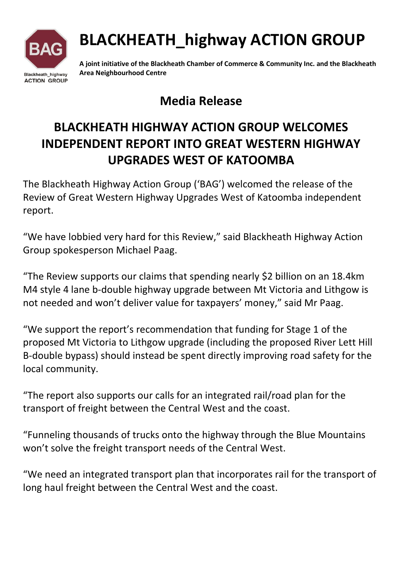

# BLACKHEATH\_highway ACTION GROUP

A joint initiative of the Blackheath Chamber of Commerce & Community Inc. and the Blackheath Area Neighbourhood Centre

### Media Release

## BLACKHEATH HIGHWAY ACTION GROUP WELCOMES INDEPENDENT REPORT INTO GREAT WESTERN HIGHWAY UPGRADES WEST OF KATOOMBA

The Blackheath Highway Action Group ('BAG') welcomed the release of the Review of Great Western Highway Upgrades West of Katoomba independent report.

"We have lobbied very hard for this Review," said Blackheath Highway Action Group spokesperson Michael Paag.

"The Review supports our claims that spending nearly \$2 billion on an 18.4km M4 style 4 lane b-double highway upgrade between Mt Victoria and Lithgow is not needed and won't deliver value for taxpayers' money," said Mr Paag.

"We support the report's recommendation that funding for Stage 1 of the proposed Mt Victoria to Lithgow upgrade (including the proposed River Lett Hill B-double bypass) should instead be spent directly improving road safety for the local community.

"The report also supports our calls for an integrated rail/road plan for the transport of freight between the Central West and the coast.

"Funneling thousands of trucks onto the highway through the Blue Mountains won't solve the freight transport needs of the Central West.

"We need an integrated transport plan that incorporates rail for the transport of long haul freight between the Central West and the coast.